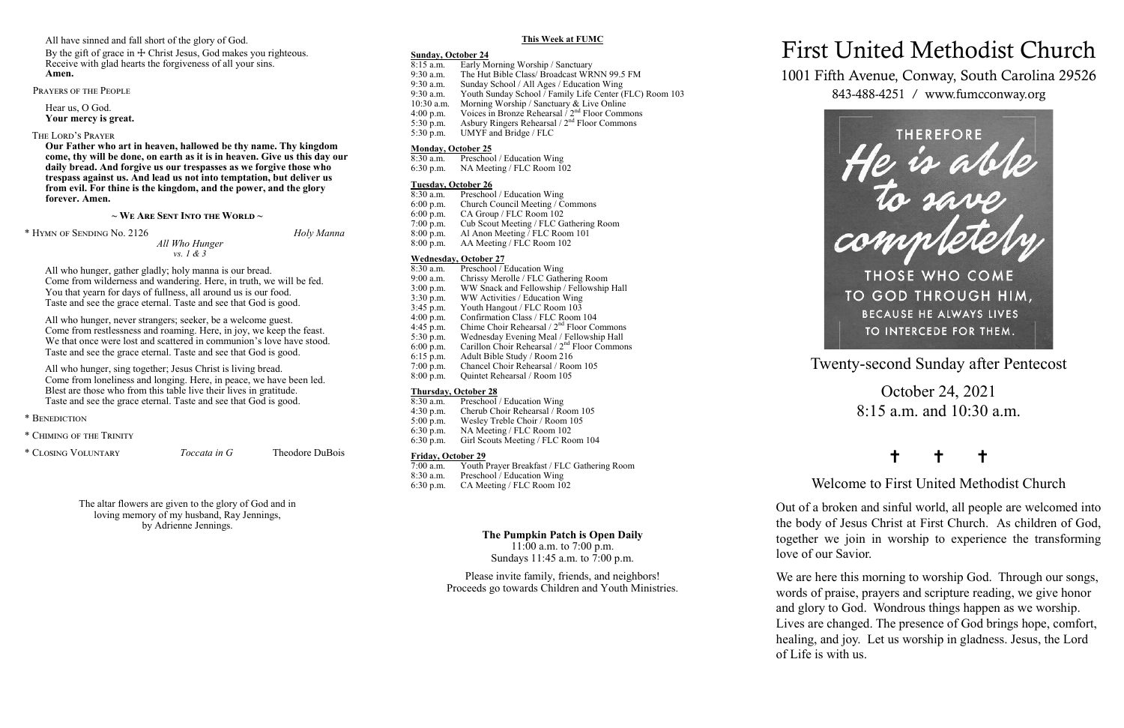Twenty-second Sunday after Pentecost

October 24, 2021 8:15 a.m. and 10:30 a.m.

## † † †

Welcome to First United Methodist Church

Out of a broken and sinful world, all people are welcomed into the body of Jesus Christ at First Church. As children of God, together we join in worship to experience the transforming love of our Savior.

We are here this morning to worship God. Through our songs, words of praise, prayers and scripture reading, we give honor and glory to God. Wondrous things happen as we worship. Lives are changed. The presence of God brings hope, comfort, healing, and joy. Let us worship in gladness. Jesus, the Lord of Life is with us.

By the gift of grace in  $\pm$  Christ Jesus, God makes you righteous. Receive with glad hearts the forgiveness of all your sins. **Amen.**

# First United Methodist Church

1001 Fifth Avenue, Conway, South Carolina 29526 843-488-4251 / www.fumcconway.org



All have sinned and fall short of the glory of God.

Prayers of the People

Hear us, O God. **Your mercy is great.**

The Lord's Prayer

**Our Father who art in heaven, hallowed be thy name. Thy kingdom come, thy will be done, on earth as it is in heaven. Give us this day our daily bread. And forgive us our trespasses as we forgive those who trespass against us. And lead us not into temptation, but deliver us from evil. For thine is the kingdom, and the power, and the glory forever. Amen.** 

#### **~ We Are Sent Into the World ~**

\* Hymn of Sending No. 2126 *Holy Manna*

*All Who Hunger vs. 1 & 3*

- Preschool / Education Wing
- 6:30 p.m. NA Meeting / FLC Room 102

All who hunger, gather gladly; holy manna is our bread. Come from wilderness and wandering. Here, in truth, we will be fed. You that yearn for days of fullness, all around us is our food. Taste and see the grace eternal. Taste and see that God is good.

All who hunger, never strangers; seeker, be a welcome guest. Come from restlessness and roaming. Here, in joy, we keep the feast. We that once were lost and scattered in communion's love have stood. Taste and see the grace eternal. Taste and see that God is good.

- $8:30$  a.m. Preschool / Education Wing<br>9:00 a.m. Chrissy Merolle / FLC Gathe
- 9:00 a.m. Chrissy Merolle / FLC Gathering Room<br>3:00 p.m. WW Snack and Fellowship / Fellowship
- 3:00 p.m. WW Snack and Fellowship / Fellowship Hall<br>3:30 p.m. WW Activities / Education Wing
- 3:30 p.m. WW Activities / Education Wing<br>3:45 p.m. Youth Hangout / FLC Room 103
- 3:45 p.m. Youth Hangout / FLC Room 103<br>4:00 p.m. Confirmation Class / FLC Room
- Confirmation Class / FLC Room 104
- 4:45 p.m. Chime Choir Rehearsal  $/2<sup>nd</sup>$  Floor Commons
- 5:30 p.m. Wednesday Evening Meal / Fellowship Hall 6:00 p.m. Carillon Choir Rehearsal /  $2<sup>nd</sup>$  Floor Common Carillon Choir Rehearsal /  $2<sup>nd</sup>$  Floor Commons
- 6:15 p.m. Adult Bible Study / Room 216
- 7:00 p.m. Chancel Choir Rehearsal / Room 105
- 8:00 p.m. Quintet Rehearsal / Room 105

## **Thursday, October 28**<br>8:30 a.m. Preschool

- $8:30$  a.m. Preschool / Education Wing<br>4:30 p.m. Cherub Choir Rehearsal / Ro
- 4:30 p.m. Cherub Choir Rehearsal / Room 105<br>5:00 p.m. Wesley Treble Choir / Room 105
- 5:00 p.m. Wesley Treble Choir / Room 105<br>6:30 p.m. NA Meeting / FLC Room 102
- 6:30 p.m. NA Meeting / FLC Room 102<br>6:30 p.m. Girl Scouts Meeting / FLC Roo Girl Scouts Meeting / FLC Room 104

## **Friday, October 29**<br>7:00 a.m. Youth I

- 7:00 a.m. Youth Prayer Breakfast / FLC Gathering Room
- 8:30 a.m. Preschool / Education Wing<br>6:30 p.m. CA Meeting / FLC Room 10 CA Meeting / FLC Room 102

11:00 a.m. to 7:00 p.m. Sundays 11:45 a.m. to  $7:00$  p.m.

All who hunger, sing together; Jesus Christ is living bread. Come from loneliness and longing. Here, in peace, we have been led. Blest are those who from this table live their lives in gratitude. Taste and see the grace eternal. Taste and see that God is good.

\* Benediction

\* Chiming of the Trinity

\* Closing Voluntary *Toccata in G* Theodore DuBois

The altar flowers are given to the glory of God and in loving memory of my husband, Ray Jennings, by Adrienne Jennings.

#### **This Week at FUMC**

#### **Sunday, October 24**

- 8:15 a.m. Early Morning Worship / Sanctuary<br>9:30 a.m. The Hut Bible Class/ Broadcast WR
- The Hut Bible Class/ Broadcast WRNN 99.5 FM
- 9:30 a.m. Sunday School / All Ages / Education Wing 9:30 a.m. Youth Sunday School / Family Life Center (FLC) Room 103
- 
- 10:30 a.m. Morning Worship / Sanctuary & Live Online 4:00 p.m. Voices in Bronze Rehearsal  $/2^{nd}$  Floor Comm
- 4:00 p.m. Voices in Bronze Rehearsal  $\frac{7}{2}$ <sup>nd</sup> Floor Commons<br>5:30 p.m. Asbury Ringers Rehearsal  $\frac{2^{nd}}{2^{nd}}$  Floor Commons
- 5:30 p.m. Asbury Ringers Rehearsal  $/2^{nd}$  Floor Commons<br>5:30 p.m. UMYF and Bridge / FLC UMYF and Bridge / FLC

## **Monday, October 25**<br>8:30 a.m. Preschoo

## **Tuesday, October 26**

- 8:30 a.m. Preschool / Education Wing
- 6:00 p.m. Church Council Meeting / Commons
- 6:00 p.m. CA Group / FLC Room 102<br>7:00 p.m. Cub Scout Meeting / FLC Ga
- Cub Scout Meeting / FLC Gathering Room 8:00 p.m. Al Anon Meeting / FLC Room 101
- 8:00 p.m. AA Meeting / FLC Room 102

## **Wednesday, October 27**<br>8:30 a.m. Preschool / I

## **The Pumpkin Patch is Open Daily**

Please invite family, friends, and neighbors! Proceeds go towards Children and Youth Ministries.